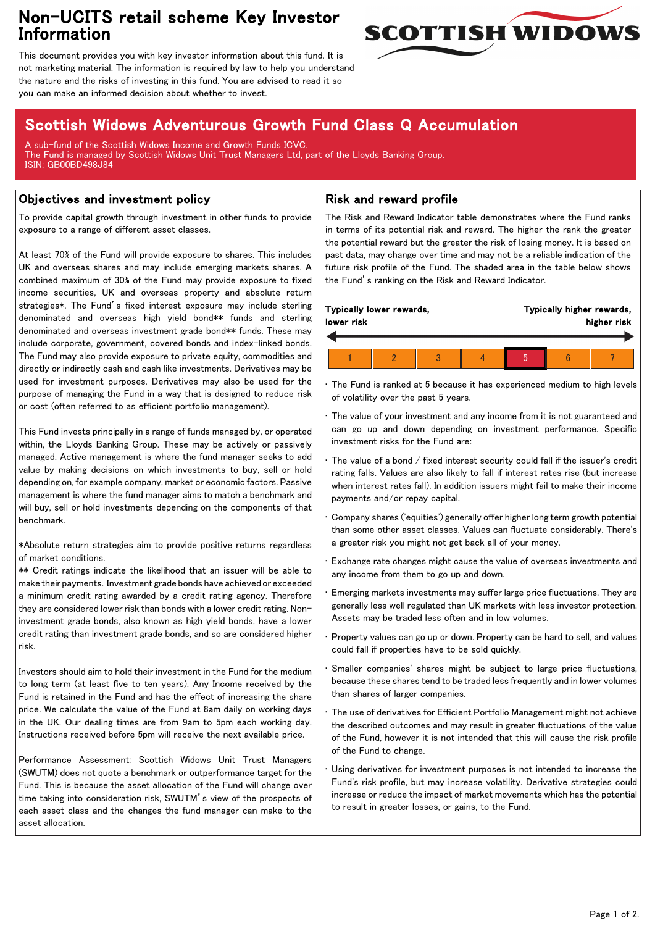# Non-UCITS retail scheme Key Investor Information



This document provides you with key investor information about this fund. It is not marketing material. The information is required by law to help you understand the nature and the risks of investing in this fund. You are advised to read it so you can make an informed decision about whether to invest.

# Scottish Widows Adventurous Growth Fund Class Q Accumulation

A sub-fund of the Scottish Widows Income and Growth Funds ICVC. The Fund is managed by Scottish Widows Unit Trust Managers Ltd, part of the Lloyds Banking Group. ISIN: GB00BD498J84

## Objectives and investment policy

To provide capital growth through investment in other funds to provide exposure to a range of different asset classes.

At least 70% of the Fund will provide exposure to shares. This includes UK and overseas shares and may include emerging markets shares. A combined maximum of 30% of the Fund may provide exposure to fixed income securities, UK and overseas property and absolute return strategies\*. The Fund's fixed interest exposure may include sterling denominated and overseas high yield bond\*\* funds and sterling denominated and overseas investment grade bond\*\* funds. These may include corporate, government, covered bonds and index-linked bonds. The Fund may also provide exposure to private equity, commodities and directly or indirectly cash and cash like investments. Derivatives may be used for investment purposes. Derivatives may also be used for the purpose of managing the Fund in a way that is designed to reduce risk or cost (often referred to as efficient portfolio management).

This Fund invests principally in a range of funds managed by, or operated within, the Lloyds Banking Group. These may be actively or passively managed. Active management is where the fund manager seeks to add value by making decisions on which investments to buy, sell or hold depending on, for example company, market or economic factors. Passive management is where the fund manager aims to match a benchmark and will buy, sell or hold investments depending on the components of that benchmark.

\*Absolute return strategies aim to provide positive returns regardless of market conditions.

\*\* Credit ratings indicate the likelihood that an issuer will be able to make their payments. Investment grade bonds have achieved or exceeded a minimum credit rating awarded by a credit rating agency. Therefore they are considered lower risk than bonds with a lower credit rating. Noninvestment grade bonds, also known as high yield bonds, have a lower credit rating than investment grade bonds, and so are considered higher risk.

Investors should aim to hold their investment in the Fund for the medium to long term (at least five to ten years). Any Income received by the Fund is retained in the Fund and has the effect of increasing the share price. We calculate the value of the Fund at 8am daily on working days in the UK. Our dealing times are from 9am to 5pm each working day. Instructions received before 5pm will receive the next available price.

Performance Assessment: Scottish Widows Unit Trust Managers (SWUTM) does not quote a benchmark or outperformance target for the Fund. This is because the asset allocation of the Fund will change over time taking into consideration risk, SWUTM's view of the prospects of each asset class and the changes the fund manager can make to the asset allocation.

### Risk and reward profile

The Risk and Reward Indicator table demonstrates where the Fund ranks in terms of its potential risk and reward. The higher the rank the greater the potential reward but the greater the risk of losing money. It is based on past data, may change over time and may not be a reliable indication of the future risk profile of the Fund. The shaded area in the table below shows the Fund's ranking on the Risk and Reward Indicator.

| lower risk | Typically lower rewards, | Typically higher rewards,<br>higher risk |  |  |  |  |  |
|------------|--------------------------|------------------------------------------|--|--|--|--|--|
|            |                          |                                          |  |  |  |  |  |
|            |                          |                                          |  |  |  |  |  |

The Fund is ranked at 5 because it has experienced medium to high levels of volatility over the past 5 years.

The value of your investment and any income from it is not guaranteed and can go up and down depending on investment performance. Specific investment risks for the Fund are:

• The value of a bond / fixed interest security could fall if the issuer's credit rating falls. Values are also likely to fall if interest rates rise (but increase when interest rates fall). In addition issuers might fail to make their income payments and/or repay capital.

• Company shares ('equities') generally offer higher long term growth potential than some other asset classes. Values can fluctuate considerably. There's a greater risk you might not get back all of your money.

• Exchange rate changes might cause the value of overseas investments and any income from them to go up and down.

• Emerging markets investments may suffer large price fluctuations. They are generally less well regulated than UK markets with less investor protection. Assets may be traded less often and in low volumes.

• Property values can go up or down. Property can be hard to sell, and values could fall if properties have to be sold quickly.

Smaller companies' shares might be subject to large price fluctuations, because these shares tend to be traded less frequently and in lower volumes than shares of larger companies.

The use of derivatives for Efficient Portfolio Management might not achieve the described outcomes and may result in greater fluctuations of the value of the Fund, however it is not intended that this will cause the risk profile of the Fund to change.

Using derivatives for investment purposes is not intended to increase the Fund's risk profile, but may increase volatility. Derivative strategies could increase or reduce the impact of market movements which has the potential to result in greater losses, or gains, to the Fund.